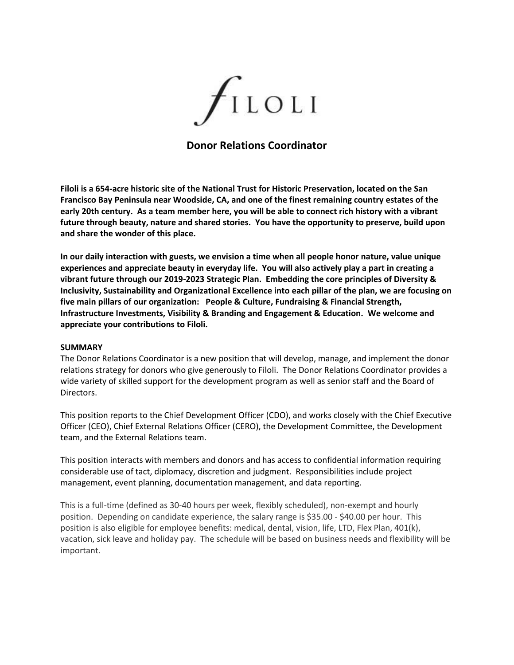

# **Donor Relations Coordinator**

**Filoli is a 654-acre historic site of the National Trust for Historic Preservation, located on the San Francisco Bay Peninsula near Woodside, CA, and one of the finest remaining country estates of the early 20th century. As a team member here, you will be able to connect rich history with a vibrant future through beauty, nature and shared stories. You have the opportunity to preserve, build upon and share the wonder of this place.**

**In our daily interaction with guests, we envision a time when all people honor nature, value unique experiences and appreciate beauty in everyday life. You will also actively play a part in creating a vibrant future through our 2019-2023 Strategic Plan. Embedding the core principles of Diversity & Inclusivity, Sustainability and Organizational Excellence into each pillar of the plan, we are focusing on five main pillars of our organization: People & Culture, Fundraising & Financial Strength, Infrastructure Investments, Visibility & Branding and Engagement & Education. We welcome and appreciate your contributions to Filoli.**

#### **SUMMARY**

The Donor Relations Coordinator is a new position that will develop, manage, and implement the donor relations strategy for donors who give generously to Filoli. The Donor Relations Coordinator provides a wide variety of skilled support for the development program as well as senior staff and the Board of Directors.

This position reports to the Chief Development Officer (CDO), and works closely with the Chief Executive Officer (CEO), Chief External Relations Officer (CERO), the Development Committee, the Development team, and the External Relations team.

This position interacts with members and donors and has access to confidential information requiring considerable use of tact, diplomacy, discretion and judgment. Responsibilities include project management, event planning, documentation management, and data reporting.

This is a full-time (defined as 30-40 hours per week, flexibly scheduled), non-exempt and hourly position. Depending on candidate experience, the salary range is \$35.00 - \$40.00 per hour. This position is also eligible for employee benefits: medical, dental, vision, life, LTD, Flex Plan, 401(k), vacation, sick leave and holiday pay. The schedule will be based on business needs and flexibility will be important.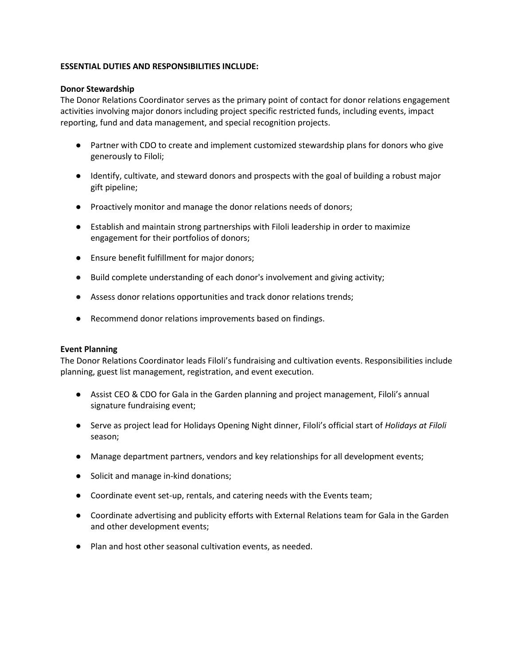# **ESSENTIAL DUTIES AND RESPONSIBILITIES INCLUDE:**

#### **Donor Stewardship**

The Donor Relations Coordinator serves as the primary point of contact for donor relations engagement activities involving major donors including project specific restricted funds, including events, impact reporting, fund and data management, and special recognition projects.

- Partner with CDO to create and implement customized stewardship plans for donors who give generously to Filoli;
- Identify, cultivate, and steward donors and prospects with the goal of building a robust major gift pipeline;
- Proactively monitor and manage the donor relations needs of donors;
- Establish and maintain strong partnerships with Filoli leadership in order to maximize engagement for their portfolios of donors;
- Ensure benefit fulfillment for major donors;
- Build complete understanding of each donor's involvement and giving activity;
- Assess donor relations opportunities and track donor relations trends;
- Recommend donor relations improvements based on findings.

#### **Event Planning**

The Donor Relations Coordinator leads Filoli's fundraising and cultivation events. Responsibilities include planning, guest list management, registration, and event execution.

- Assist CEO & CDO for Gala in the Garden planning and project management, Filoli's annual signature fundraising event;
- Serve as project lead for Holidays Opening Night dinner, Filoli's official start of *Holidays at Filoli* season;
- Manage department partners, vendors and key relationships for all development events;
- Solicit and manage in-kind donations;
- Coordinate event set-up, rentals, and catering needs with the Events team;
- Coordinate advertising and publicity efforts with External Relations team for Gala in the Garden and other development events;
- Plan and host other seasonal cultivation events, as needed.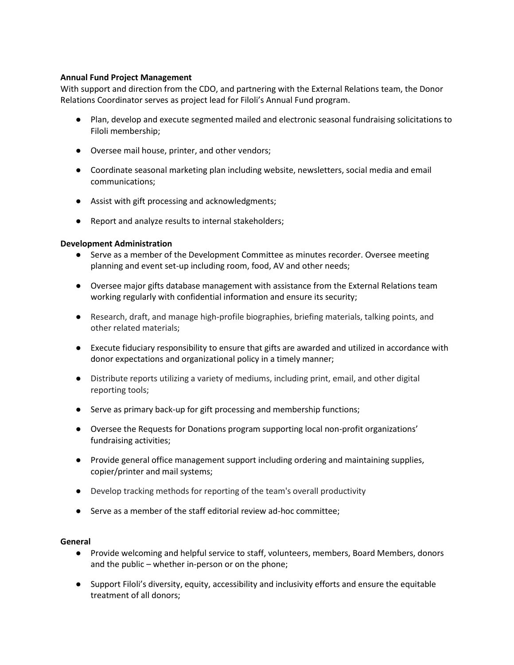# **Annual Fund Project Management**

With support and direction from the CDO, and partnering with the External Relations team, the Donor Relations Coordinator serves as project lead for Filoli's Annual Fund program.

- Plan, develop and execute segmented mailed and electronic seasonal fundraising solicitations to Filoli membership;
- Oversee mail house, printer, and other vendors;
- Coordinate seasonal marketing plan including website, newsletters, social media and email communications;
- Assist with gift processing and acknowledgments;
- Report and analyze results to internal stakeholders;

# **Development Administration**

- Serve as a member of the Development Committee as minutes recorder. Oversee meeting planning and event set-up including room, food, AV and other needs;
- Oversee major gifts database management with assistance from the External Relations team working regularly with confidential information and ensure its security;
- Research, draft, and manage high-profile biographies, briefing materials, talking points, and other related materials;
- Execute fiduciary responsibility to ensure that gifts are awarded and utilized in accordance with donor expectations and organizational policy in a timely manner;
- Distribute reports utilizing a variety of mediums, including print, email, and other digital reporting tools;
- Serve as primary back-up for gift processing and membership functions;
- Oversee the Requests for Donations program supporting local non-profit organizations' fundraising activities;
- Provide general office management support including ordering and maintaining supplies, copier/printer and mail systems;
- Develop tracking methods for reporting of the team's overall productivity
- Serve as a member of the staff editorial review ad-hoc committee;

#### **General**

- Provide welcoming and helpful service to staff, volunteers, members, Board Members, donors and the public – whether in-person or on the phone;
- Support Filoli's diversity, equity, accessibility and inclusivity efforts and ensure the equitable treatment of all donors;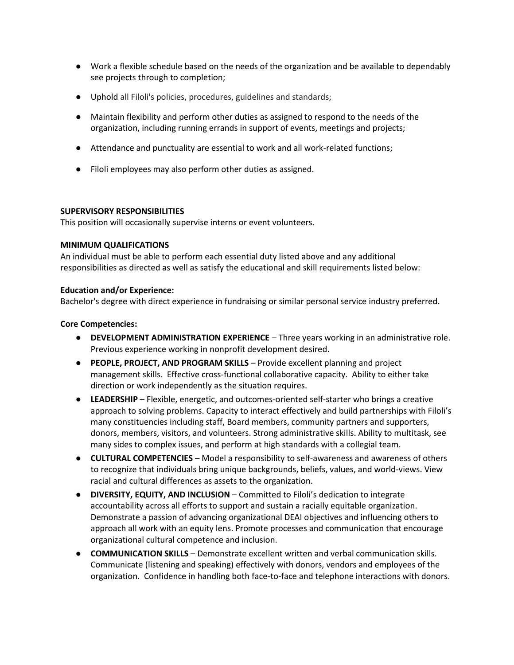- Work a flexible schedule based on the needs of the organization and be available to dependably see projects through to completion;
- Uphold all Filoli's policies, procedures, guidelines and standards;
- Maintain flexibility and perform other duties as assigned to respond to the needs of the organization, including running errands in support of events, meetings and projects;
- Attendance and punctuality are essential to work and all work-related functions;
- Filoli employees may also perform other duties as assigned.

#### **SUPERVISORY RESPONSIBILITIES**

This position will occasionally supervise interns or event volunteers.

#### **MINIMUM QUALIFICATIONS**

An individual must be able to perform each essential duty listed above and any additional responsibilities as directed as well as satisfy the educational and skill requirements listed below:

#### **Education and/or Experience:**

Bachelor's degree with direct experience in fundraising or similar personal service industry preferred.

#### **Core Competencies:**

- **DEVELOPMENT ADMINISTRATION EXPERIENCE** Three years working in an administrative role. Previous experience working in nonprofit development desired.
- **PEOPLE, PROJECT, AND PROGRAM SKILLS** Provide excellent planning and project management skills. Effective cross-functional collaborative capacity. Ability to either take direction or work independently as the situation requires.
- **LEADERSHIP** Flexible, energetic, and outcomes-oriented self-starter who brings a creative approach to solving problems. Capacity to interact effectively and build partnerships with Filoli's many constituencies including staff, Board members, community partners and supporters, donors, members, visitors, and volunteers. Strong administrative skills. Ability to multitask, see many sides to complex issues, and perform at high standards with a collegial team.
- **CULTURAL COMPETENCIES** Model a responsibility to self-awareness and awareness of others to recognize that individuals bring unique backgrounds, beliefs, values, and world-views. View racial and cultural differences as assets to the organization.
- **DIVERSITY, EQUITY, AND INCLUSION** Committed to Filoli's dedication to integrate accountability across all efforts to support and sustain a racially equitable organization. Demonstrate a passion of advancing organizational DEAI objectives and influencing others to approach all work with an equity lens. Promote processes and communication that encourage organizational cultural competence and inclusion.
- **COMMUNICATION SKILLS** Demonstrate excellent written and verbal communication skills. Communicate (listening and speaking) effectively with donors, vendors and employees of the organization. Confidence in handling both face-to-face and telephone interactions with donors.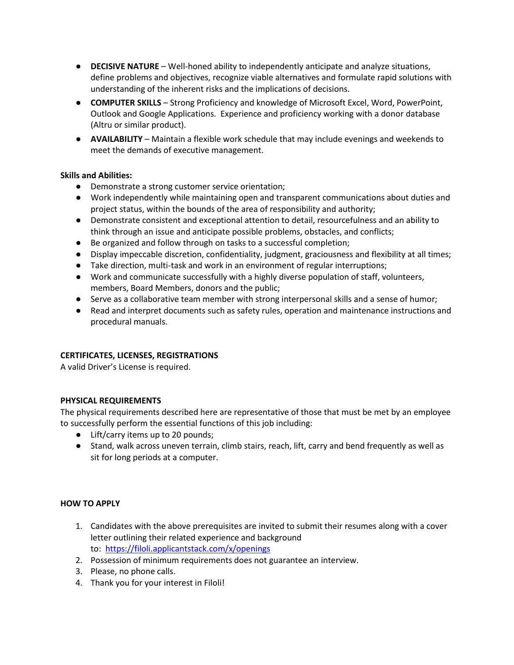- **DECISIVE NATURE** Well-honed ability to independently anticipate and analyze situations, define problems and objectives, recognize viable alternatives and formulate rapid solutions with understanding of the inherent risks and the implications of decisions.
- **COMPUTER SKILLS** Strong Proficiency and knowledge of Microsoft Excel, Word, PowerPoint, Outlook and Google Applications. Experience and proficiency working with a donor database (Altru or similar product).
- **AVAILABILITY**  Maintain a flexible work schedule that may include evenings and weekends to meet the demands of executive management.

# **Skills and Abilities:**

- Demonstrate a strong customer service orientation;
- Work independently while maintaining open and transparent communications about duties and project status, within the bounds of the area of responsibility and authority;
- Demonstrate consistent and exceptional attention to detail, resourcefulness and an ability to think through an issue and anticipate possible problems, obstacles, and conflicts;
- Be organized and follow through on tasks to a successful completion;
- Display impeccable discretion, confidentiality, judgment, graciousness and flexibility at all times;
- Take direction, multi-task and work in an environment of regular interruptions;
- Work and communicate successfully with a highly diverse population of staff, volunteers, members, Board Members, donors and the public;
- Serve as a collaborative team member with strong interpersonal skills and a sense of humor;
- Read and interpret documents such as safety rules, operation and maintenance instructions and procedural manuals.

# **CERTIFICATES, LICENSES, REGISTRATIONS**

A valid Driver's License is required.

# **PHYSICAL REQUIREMENTS**

The physical requirements described here are representative of those that must be met by an employee to successfully perform the essential functions of this job including:

- Lift/carry items up to 20 pounds;
- Stand, walk across uneven terrain, climb stairs, reach, lift, carry and bend frequently as well as sit for long periods at a computer.

# **HOW TO APPLY**

- 1. Candidates with the above prerequisites are invited to submit their resumes along with a cover letter outlining their related experience and background to: <https://filoli.applicantstack.com/x/openings>
- 2. Possession of minimum requirements does not guarantee an interview.
- 3. Please, no phone calls.
- 4. Thank you for your interest in Filoli!